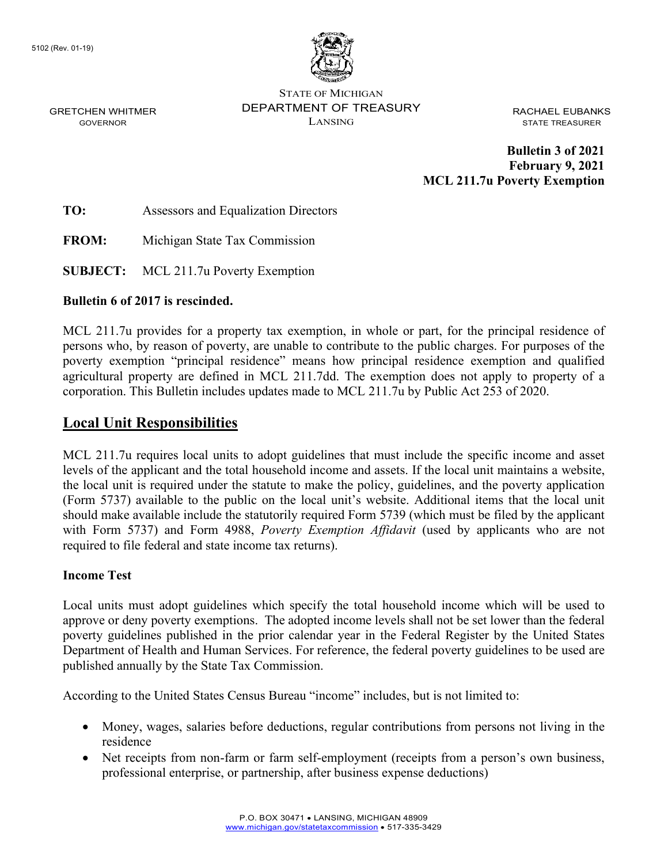

STATE OF MICHIGAN DEPARTMENT OF TREASURY LANSING

RACHAEL EUBANKS STATE TREASURER

**Bulletin 3 of 2021 February 9, 2021 MCL 211.7u Poverty Exemption**

**TO:** Assessors and Equalization Directors

**FROM:** Michigan State Tax Commission

**SUBJECT:** MCL 211.7u Poverty Exemption

#### **Bulletin 6 of 2017 is rescinded.**

[MCL 211.7u](http://www.legislature.mi.gov/(S(2l2vqv45kwceycaix24vxfbd))/mileg.aspx?page=getObject&objectName=mcl-211-7u) provides for a property tax exemption, in whole or part, for the principal residence of persons who, by reason of poverty, are unable to contribute to the public charges. For purposes of the poverty exemption "principal residence" means how principal residence exemption and qualified agricultural property are defined in MCL 211.7dd. The exemption does not apply to property of a corporation. This Bulletin includes updates made to MCL 211.7u by Public Act 253 of 2020.

## **Local Unit Responsibilities**

MCL 211.7u requires local units to adopt guidelines that must include the specific income and asset levels of the applicant and the total household income and assets. If the local unit maintains a website, the local unit is required under the statute to make the policy, guidelines, and the poverty application (Form 5737) available to the public on the local unit's website. Additional items that the local unit should make available include the statutorily required Form 5739 (which must be filed by the applicant with Form 5737) and Form 4988, *Poverty Exemption Affidavit* (used by applicants who are not required to file federal and state income tax returns).

#### **Income Test**

Local units must adopt guidelines which specify the total household income which will be used to approve or deny poverty exemptions. The adopted income levels shall not be set lower than the federal poverty guidelines published in the prior calendar year in the Federal Register by the United States Department of Health and Human Services. For reference, the federal poverty guidelines to be used are published annually by the State Tax Commission.

According to the United States Census Bureau "income" includes, but is not limited to:

- Money, wages, salaries before deductions, regular contributions from persons not living in the residence
- Net receipts from non-farm or farm self-employment (receipts from a person's own business, professional enterprise, or partnership, after business expense deductions)

GRETCHEN WHITMER GOVERNOR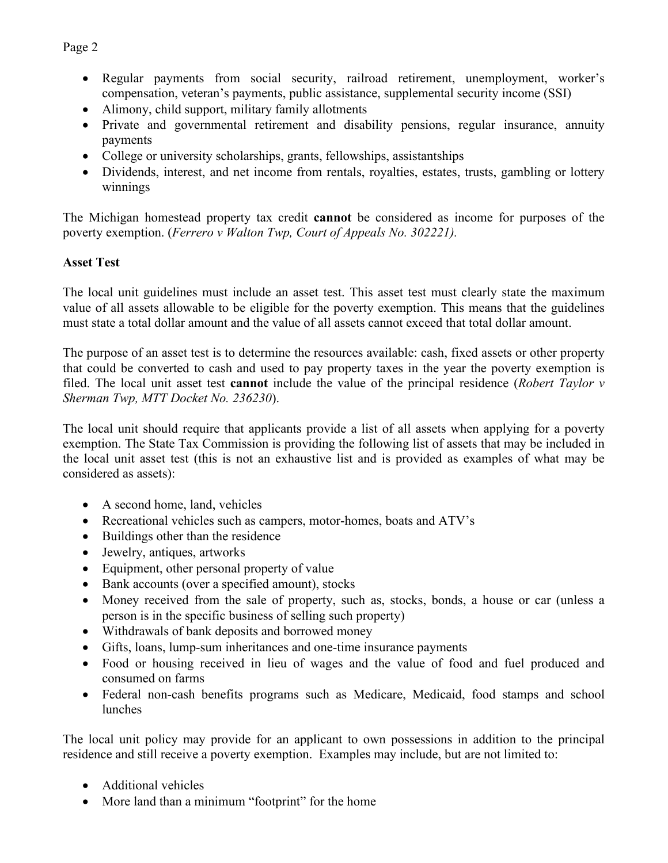• Regular payments from social security, railroad retirement, unemployment, worker's compensation, veteran's payments, public assistance, supplemental security income (SSI)

- Alimony, child support, military family allotments
- Private and governmental retirement and disability pensions, regular insurance, annuity payments
- College or university scholarships, grants, fellowships, assistantships
- Dividends, interest, and net income from rentals, royalties, estates, trusts, gambling or lottery winnings

The Michigan homestead property tax credit **cannot** be considered as income for purposes of the poverty exemption. (*Ferrero v Walton Twp, Court of Appeals No. 302221).*

## **Asset Test**

The local unit guidelines must include an asset test. This asset test must clearly state the maximum value of all assets allowable to be eligible for the poverty exemption. This means that the guidelines must state a total dollar amount and the value of all assets cannot exceed that total dollar amount.

The purpose of an asset test is to determine the resources available: cash, fixed assets or other property that could be converted to cash and used to pay property taxes in the year the poverty exemption is filed. The local unit asset test **cannot** include the value of the principal residence (*Robert Taylor v Sherman Twp, MTT Docket No. 236230*).

The local unit should require that applicants provide a list of all assets when applying for a poverty exemption. The State Tax Commission is providing the following list of assets that may be included in the local unit asset test (this is not an exhaustive list and is provided as examples of what may be considered as assets):

- A second home, land, vehicles
- Recreational vehicles such as campers, motor-homes, boats and ATV's
- Buildings other than the residence
- Jewelry, antiques, artworks
- Equipment, other personal property of value
- Bank accounts (over a specified amount), stocks
- Money received from the sale of property, such as, stocks, bonds, a house or car (unless a person is in the specific business of selling such property)
- Withdrawals of bank deposits and borrowed money
- Gifts, loans, lump-sum inheritances and one-time insurance payments
- Food or housing received in lieu of wages and the value of food and fuel produced and consumed on farms
- Federal non-cash benefits programs such as Medicare, Medicaid, food stamps and school lunches

The local unit policy may provide for an applicant to own possessions in addition to the principal residence and still receive a poverty exemption. Examples may include, but are not limited to:

- Additional vehicles
- More land than a minimum "footprint" for the home

#### Page 2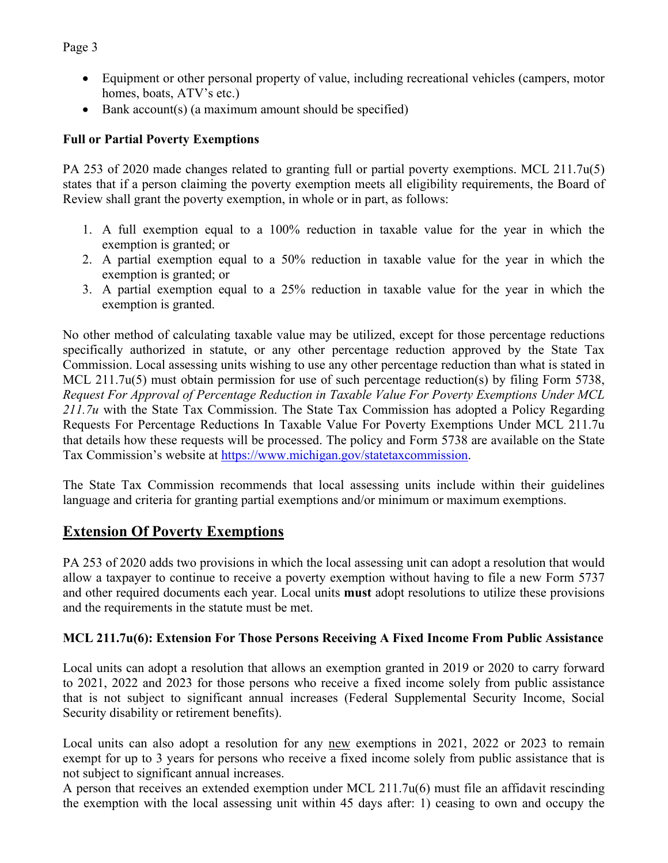Page 3

- Equipment or other personal property of value, including recreational vehicles (campers, motor homes, boats, ATV's etc.)
- Bank account(s) (a maximum amount should be specified)

# **Full or Partial Poverty Exemptions**

PA 253 of 2020 made changes related to granting full or partial poverty exemptions. MCL 211.7u(5) states that if a person claiming the poverty exemption meets all eligibility requirements, the Board of Review shall grant the poverty exemption, in whole or in part, as follows:

- 1. A full exemption equal to a 100% reduction in taxable value for the year in which the exemption is granted; or
- 2. A partial exemption equal to a 50% reduction in taxable value for the year in which the exemption is granted; or
- 3. A partial exemption equal to a 25% reduction in taxable value for the year in which the exemption is granted.

No other method of calculating taxable value may be utilized, except for those percentage reductions specifically authorized in statute, or any other percentage reduction approved by the State Tax Commission. Local assessing units wishing to use any other percentage reduction than what is stated in MCL 211.7u(5) must obtain permission for use of such percentage reduction(s) by filing Form 5738, *Request For Approval of Percentage Reduction in Taxable Value For Poverty Exemptions Under MCL 211.7u* with the State Tax Commission. The State Tax Commission has adopted a Policy Regarding Requests For Percentage Reductions In Taxable Value For Poverty Exemptions Under MCL 211.7u that details how these requests will be processed. The policy and Form 5738 are available on the State Tax Commission's website at [https://www.michigan.gov/statetaxcommission.](https://www.michigan.gov/statetaxcommission)

The State Tax Commission recommends that local assessing units include within their guidelines language and criteria for granting partial exemptions and/or minimum or maximum exemptions.

# **Extension Of Poverty Exemptions**

PA 253 of 2020 adds two provisions in which the local assessing unit can adopt a resolution that would allow a taxpayer to continue to receive a poverty exemption without having to file a new Form 5737 and other required documents each year. Local units **must** adopt resolutions to utilize these provisions and the requirements in the statute must be met.

# **MCL 211.7u(6): Extension For Those Persons Receiving A Fixed Income From Public Assistance**

Local units can adopt a resolution that allows an exemption granted in 2019 or 2020 to carry forward to 2021, 2022 and 2023 for those persons who receive a fixed income solely from public assistance that is not subject to significant annual increases (Federal Supplemental Security Income, Social Security disability or retirement benefits).

Local units can also adopt a resolution for any new exemptions in 2021, 2022 or 2023 to remain exempt for up to 3 years for persons who receive a fixed income solely from public assistance that is not subject to significant annual increases.

A person that receives an extended exemption under MCL 211.7u(6) must file an affidavit rescinding the exemption with the local assessing unit within 45 days after: 1) ceasing to own and occupy the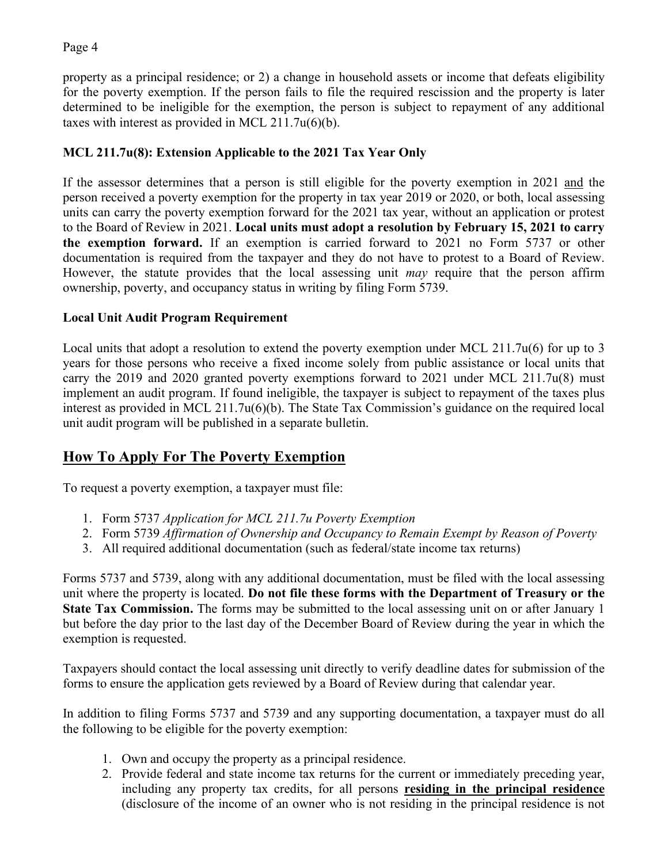## Page 4

property as a principal residence; or 2) a change in household assets or income that defeats eligibility for the poverty exemption. If the person fails to file the required rescission and the property is later determined to be ineligible for the exemption, the person is subject to repayment of any additional taxes with interest as provided in MCL 211.7u(6)(b).

# **MCL 211.7u(8): Extension Applicable to the 2021 Tax Year Only**

If the assessor determines that a person is still eligible for the poverty exemption in 2021 and the person received a poverty exemption for the property in tax year 2019 or 2020, or both, local assessing units can carry the poverty exemption forward for the 2021 tax year, without an application or protest to the Board of Review in 2021. **Local units must adopt a resolution by February 15, 2021 to carry the exemption forward.** If an exemption is carried forward to 2021 no Form 5737 or other documentation is required from the taxpayer and they do not have to protest to a Board of Review. However, the statute provides that the local assessing unit *may* require that the person affirm ownership, poverty, and occupancy status in writing by filing Form 5739.

# **Local Unit Audit Program Requirement**

Local units that adopt a resolution to extend the poverty exemption under MCL 211.7u(6) for up to 3 years for those persons who receive a fixed income solely from public assistance or local units that carry the 2019 and 2020 granted poverty exemptions forward to 2021 under MCL 211.7u(8) must implement an audit program. If found ineligible, the taxpayer is subject to repayment of the taxes plus interest as provided in MCL 211.7u(6)(b). The State Tax Commission's guidance on the required local unit audit program will be published in a separate bulletin.

# **How To Apply For The Poverty Exemption**

To request a poverty exemption, a taxpayer must file:

- 1. Form 5737 *Application for MCL 211.7u Poverty Exemption*
- 2. Form 5739 *Affirmation of Ownership and Occupancy to Remain Exempt by Reason of Poverty*
- 3. All required additional documentation (such as federal/state income tax returns)

Forms 5737 and 5739, along with any additional documentation, must be filed with the local assessing unit where the property is located. **Do not file these forms with the Department of Treasury or the State Tax Commission.** The forms may be submitted to the local assessing unit on or after January 1 but before the day prior to the last day of the December Board of Review during the year in which the exemption is requested.

Taxpayers should contact the local assessing unit directly to verify deadline dates for submission of the forms to ensure the application gets reviewed by a Board of Review during that calendar year.

In addition to filing Forms 5737 and 5739 and any supporting documentation, a taxpayer must do all the following to be eligible for the poverty exemption:

- 1. Own and occupy the property as a principal residence.
- 2. Provide federal and state income tax returns for the current or immediately preceding year, including any property tax credits, for all persons **residing in the principal residence** (disclosure of the income of an owner who is not residing in the principal residence is not